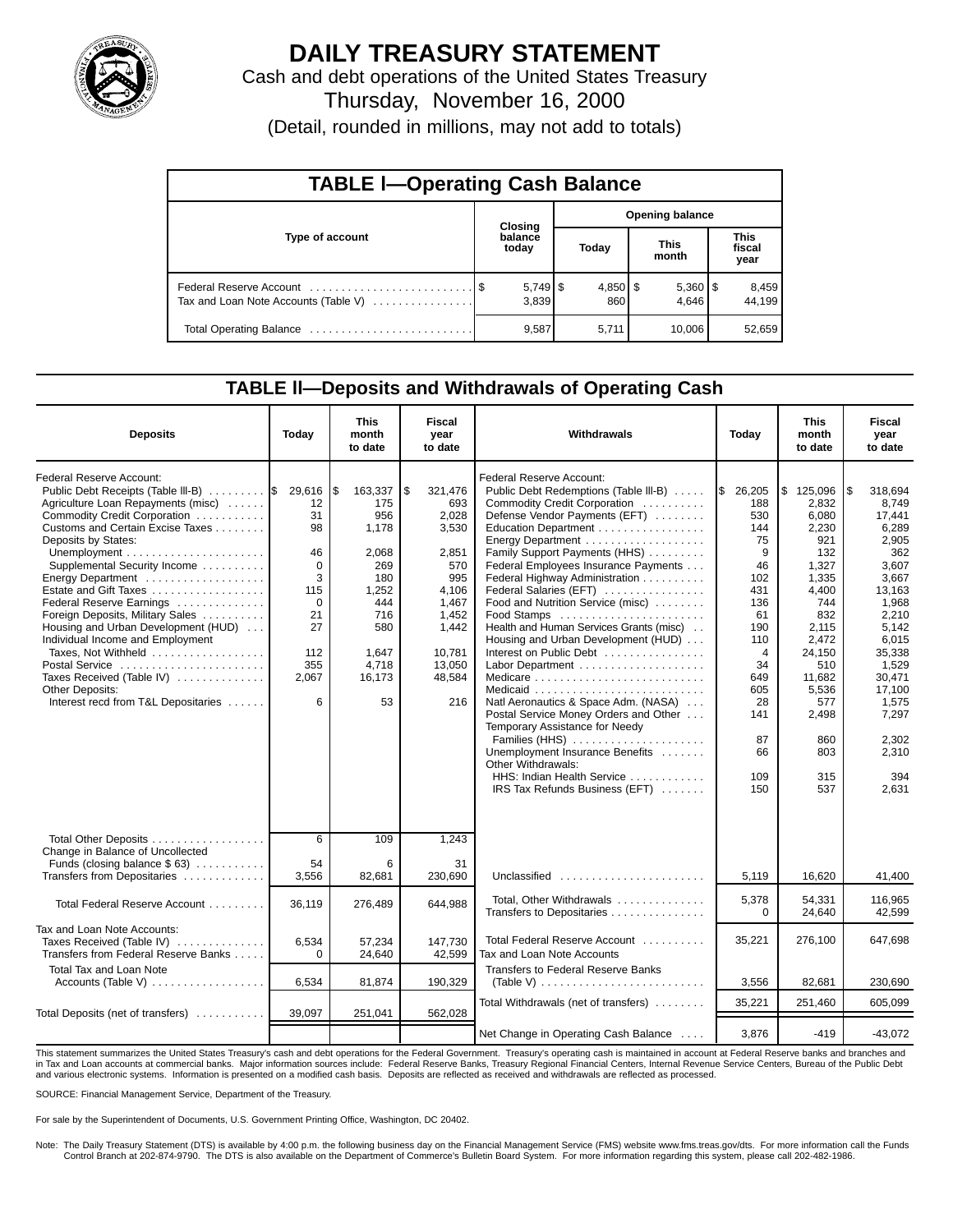

## **DAILY TREASURY STATEMENT**

Cash and debt operations of the United States Treasury Thursday, November 16, 2000

(Detail, rounded in millions, may not add to totals)

| <b>TABLE I-Operating Cash Balance</b> |         |                  |                        |                   |  |                       |  |                               |  |  |  |
|---------------------------------------|---------|------------------|------------------------|-------------------|--|-----------------------|--|-------------------------------|--|--|--|
|                                       | Closing |                  | <b>Opening balance</b> |                   |  |                       |  |                               |  |  |  |
| Type of account                       |         | balance<br>today |                        | Today             |  | <b>This</b><br>month  |  | <b>This</b><br>fiscal<br>year |  |  |  |
| Tax and Loan Note Accounts (Table V)  |         | 3.839            |                        | $4,850$ \$<br>860 |  | $5,360$   \$<br>4.646 |  | 8,459<br>44.199               |  |  |  |
|                                       |         | 9,587            |                        | 5,711             |  | 10.006                |  | 52,659                        |  |  |  |

## **TABLE ll—Deposits and Withdrawals of Operating Cash**

| <b>Deposits</b>                                                                                                                                 | Today               | <b>This</b><br>month<br>to date | Fiscal<br>year<br>to date     | Withdrawals                                                                                                                        | Today                       | <b>This</b><br>month<br>to date | <b>Fiscal</b><br>year<br>to date   |
|-------------------------------------------------------------------------------------------------------------------------------------------------|---------------------|---------------------------------|-------------------------------|------------------------------------------------------------------------------------------------------------------------------------|-----------------------------|---------------------------------|------------------------------------|
| Federal Reserve Account:<br>Public Debt Receipts (Table III-B)  \$ 29,616<br>Agriculture Loan Repayments (misc)<br>Commodity Credit Corporation | 12<br>31            | l\$<br>163,337<br>175<br>956    | \$<br>321,476<br>693<br>2.028 | Federal Reserve Account:<br>Public Debt Redemptions (Table III-B)<br>Commodity Credit Corporation<br>Defense Vendor Payments (EFT) | \$26,205<br>188<br>530      | \$125,096<br>2.832<br>6.080     | 318.694<br>l \$<br>8.749<br>17,441 |
| Customs and Certain Excise Taxes<br>Deposits by States:                                                                                         | 98                  | 1.178                           | 3,530                         | Education Department<br>Energy Department                                                                                          | 144<br>75                   | 2,230<br>921                    | 6,289<br>2,905                     |
| Supplemental Security Income<br>Energy Department                                                                                               | 46<br>$\Omega$<br>3 | 2,068<br>269<br>180             | 2,851<br>570<br>995           | Family Support Payments (HHS)<br>Federal Employees Insurance Payments<br>Federal Highway Administration                            | 9<br>46<br>102              | 132<br>1,327<br>1,335           | 362<br>3,607<br>3,667              |
| Estate and Gift Taxes<br>Federal Reserve Earnings                                                                                               | 115<br>$\Omega$     | 1,252<br>444                    | 4.106<br>1.467                | Federal Salaries (EFT)<br>Food and Nutrition Service (misc)                                                                        | 431<br>136                  | 4.400<br>744                    | 13.163<br>1,968                    |
| Foreign Deposits, Military Sales<br>Housing and Urban Development (HUD)<br>Individual Income and Employment                                     | 21<br>27            | 716<br>580                      | 1,452<br>1,442                | Food Stamps<br>Health and Human Services Grants (misc)<br>Housing and Urban Development (HUD)                                      | 61<br>190<br>110            | 832<br>2.115<br>2.472           | 2.210<br>5.142<br>6.015            |
| Taxes, Not Withheld<br>Postal Service<br>Taxes Received (Table IV)                                                                              | 112<br>355<br>2,067 | 1,647<br>4,718<br>16,173        | 10,781<br>13,050<br>48,584    | Interest on Public Debt                                                                                                            | $\overline{4}$<br>34<br>649 | 24,150<br>510<br>11,682         | 35,338<br>1,529<br>30,471          |
| Other Deposits:<br>Interest recd from T&L Depositaries                                                                                          | 6                   | 53                              | 216                           | Natl Aeronautics & Space Adm. (NASA)                                                                                               | 605<br>28                   | 5,536<br>577                    | 17,100<br>1,575                    |
|                                                                                                                                                 |                     |                                 |                               | Postal Service Money Orders and Other<br>Temporary Assistance for Needy<br>Families (HHS)                                          | 141<br>87                   | 2,498<br>860                    | 7,297<br>2,302                     |
|                                                                                                                                                 |                     |                                 |                               | Unemployment Insurance Benefits<br>Other Withdrawals:<br>HHS: Indian Health Service                                                | 66<br>109                   | 803<br>315                      | 2,310<br>394                       |
|                                                                                                                                                 |                     |                                 |                               | IRS Tax Refunds Business (EFT)                                                                                                     | 150                         | 537                             | 2.631                              |
| Total Other Deposits                                                                                                                            | 6                   | 109                             | 1,243                         |                                                                                                                                    |                             |                                 |                                    |
| Change in Balance of Uncollected<br>Funds (closing balance $$ 63)$<br>Transfers from Depositaries                                               | 54<br>3,556         | 6<br>82,681                     | 31<br>230,690                 | Unclassified                                                                                                                       | 5,119                       | 16,620                          | 41,400                             |
| Total Federal Reserve Account                                                                                                                   | 36,119              | 276,489                         | 644,988                       | Total, Other Withdrawals<br>Transfers to Depositaries                                                                              | 5,378<br>$\Omega$           | 54,331<br>24,640                | 116,965<br>42,599                  |
| Tax and Loan Note Accounts:<br>Taxes Received (Table IV)<br>Transfers from Federal Reserve Banks                                                | 6,534<br>$\Omega$   | 57,234<br>24,640                | 147,730<br>42,599             | Total Federal Reserve Account<br>Tax and Loan Note Accounts                                                                        | 35,221                      | 276,100                         | 647,698                            |
| Total Tax and Loan Note<br>Accounts (Table V)                                                                                                   | 6,534               | 81,874                          | 190,329                       | <b>Transfers to Federal Reserve Banks</b><br>(Table V) $\ldots \ldots \ldots \ldots \ldots \ldots \ldots \ldots$                   | 3,556                       | 82,681                          | 230,690                            |
| Total Deposits (net of transfers)                                                                                                               | 39,097              | 251,041                         | 562,028                       | Total Withdrawals (net of transfers)                                                                                               | 35,221                      | 251,460                         | 605,099                            |
|                                                                                                                                                 |                     |                                 |                               | Net Change in Operating Cash Balance                                                                                               | 3,876                       | $-419$                          | $-43,072$                          |

This statement summarizes the United States Treasury's cash and debt operations for the Federal Government. Treasury's operating cash is maintained in account at Federal Reserve banks and branches and<br>in Tax and Loan accou and various electronic systems. Information is presented on a modified cash basis. Deposits are reflected as received and withdrawals are reflected as processed.

SOURCE: Financial Management Service, Department of the Treasury.

For sale by the Superintendent of Documents, U.S. Government Printing Office, Washington, DC 20402.

Note: The Daily Treasury Statement (DTS) is available by 4:00 p.m. the following business day on the Financial Management Service (FMS) website www.fms.treas.gov/dts. For more information call the Funds Control Branch at 202-874-9790. The DTS is also available on the Department of Commerce's Bulletin Board System. For more information regarding this system, please call 202-482-1986.